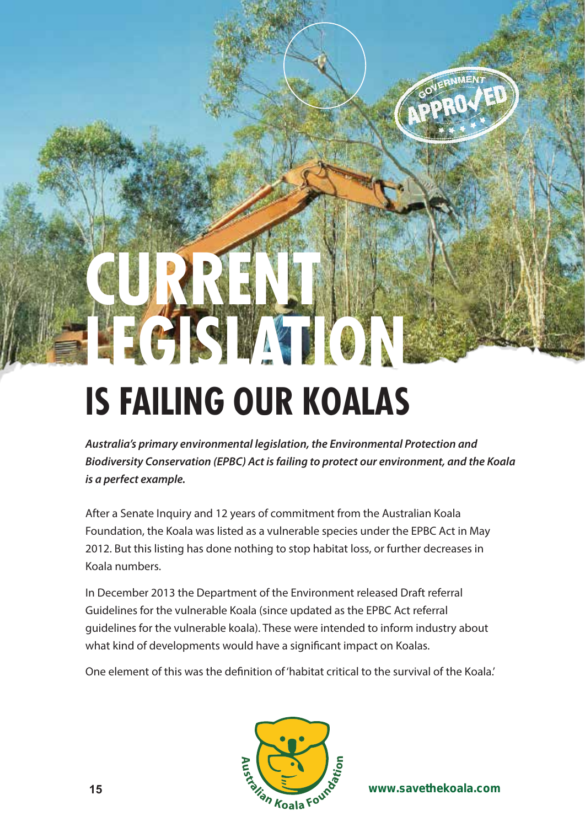## **IS FAILING OUR KOALAS**

**LEGISLATION**

**CURRENT** 

*Australia's primary environmental legislation, the Environmental Protection and Biodiversity Conservation (EPBC) Act is failing to protect our environment, and the Koala is a perfect example.*

After a Senate Inquiry and 12 years of commitment from the Australian Koala Foundation, the Koala was listed as a vulnerable species under the EPBC Act in May 2012. But this listing has done nothing to stop habitat loss, or further decreases in Koala numbers.

In December 2013 the Department of the Environment released Draft referral Guidelines for the vulnerable Koala (since updated as the EPBC Act referral guidelines for the vulnerable koala). These were intended to inform industry about what kind of developments would have a significant impact on Koalas.

One element of this was the definition of 'habitat critical to the survival of the Koala.'



**www.savethekoala.com www.savethekoala.com 16**

**IMENT**